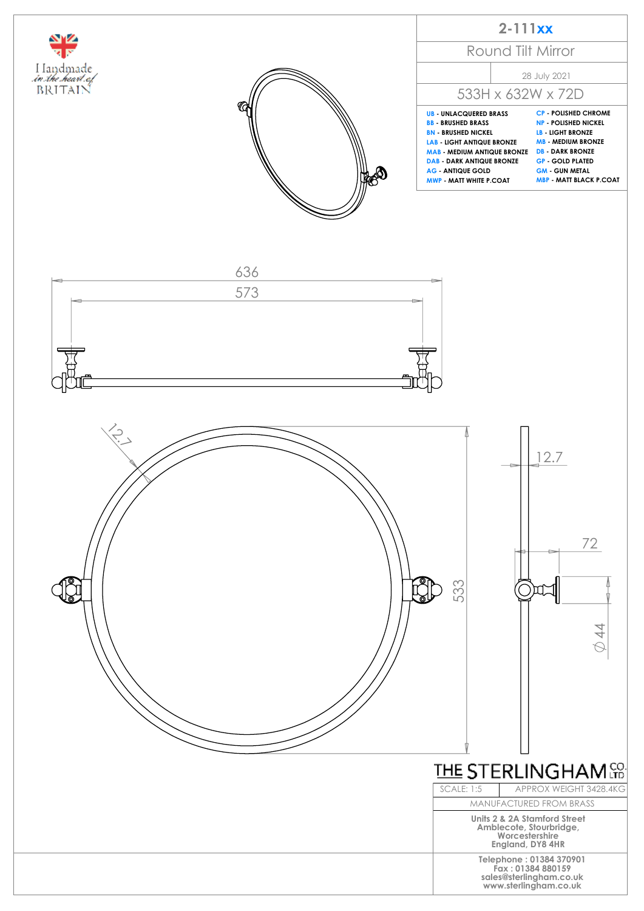